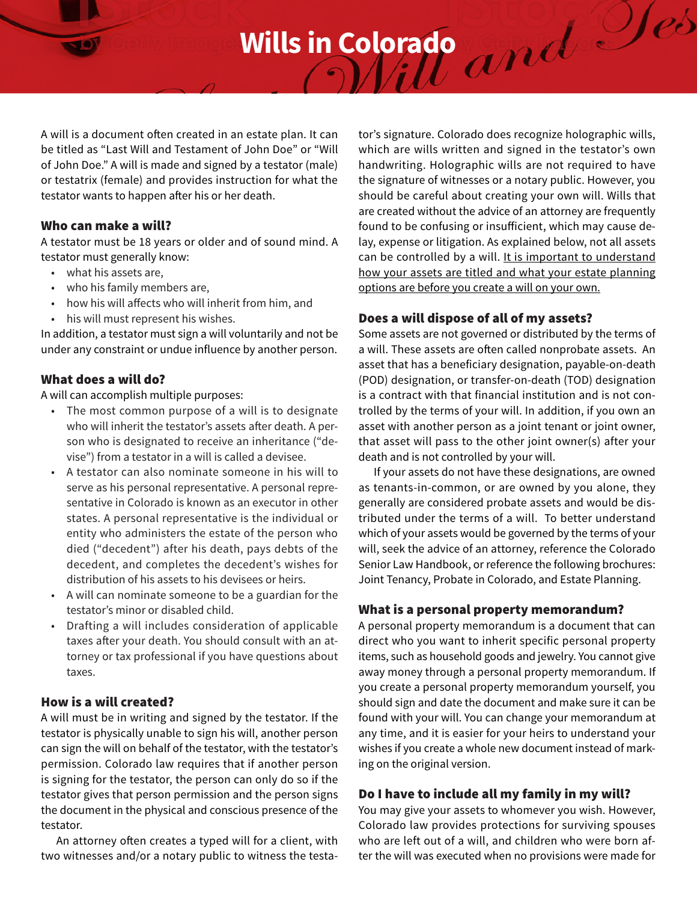**Wills in Colorado**

A will is a document often created in an estate plan. It can be titled as "Last Will and Testament of John Doe" or "Will of John Doe." A will is made and signed by a testator (male) or testatrix (female) and provides instruction for what the testator wants to happen after his or her death.

#### Who can make a will?

A testator must be 18 years or older and of sound mind. A testator must generally know:

- what his assets are,
- who his family members are,
- how his will affects who will inherit from him, and
- his will must represent his wishes.

In addition, a testator must sign a will voluntarily and not be under any constraint or undue influence by another person.

### What does a will do?

A will can accomplish multiple purposes:

- The most common purpose of a will is to designate who will inherit the testator's assets after death. A person who is designated to receive an inheritance ("devise") from a testator in a will is called a devisee.
- A testator can also nominate someone in his will to serve as his personal representative. A personal representative in Colorado is known as an executor in other states. A personal representative is the individual or entity who administers the estate of the person who died ("decedent") after his death, pays debts of the decedent, and completes the decedent's wishes for distribution of his assets to his devisees or heirs.
- A will can nominate someone to be a guardian for the testator's minor or disabled child.
- Drafting a will includes consideration of applicable taxes after your death. You should consult with an attorney or tax professional if you have questions about taxes.

# How is a will created?

A will must be in writing and signed by the testator. If the testator is physically unable to sign his will, another person can sign the will on behalf of the testator, with the testator's permission. Colorado law requires that if another person is signing for the testator, the person can only do so if the testator gives that person permission and the person signs the document in the physical and conscious presence of the testator.

An attorney often creates a typed will for a client, with two witnesses and/or a notary public to witness the testator's signature. Colorado does recognize holographic wills, which are wills written and signed in the testator's own handwriting. Holographic wills are not required to have the signature of witnesses or a notary public. However, you should be careful about creating your own will. Wills that are created without the advice of an attorney are frequently found to be confusing or insufficient, which may cause delay, expense or litigation. As explained below, not all assets can be controlled by a will. It is important to understand how your assets are titled and what your estate planning options are before you create a will on your own.

# Does a will dispose of all of my assets?

Some assets are not governed or distributed by the terms of a will. These assets are often called nonprobate assets. An asset that has a beneficiary designation, payable-on-death (POD) designation, or transfer-on-death (TOD) designation is a contract with that financial institution and is not controlled by the terms of your will. In addition, if you own an asset with another person as a joint tenant or joint owner, that asset will pass to the other joint owner(s) after your death and is not controlled by your will.

If your assets do not have these designations, are owned as tenants-in-common, or are owned by you alone, they generally are considered probate assets and would be distributed under the terms of a will. To better understand which of your assets would be governed by the terms of your will, seek the advice of an attorney, reference the Colorado Senior Law Handbook, or reference the following brochures: Joint Tenancy, Probate in Colorado, and Estate Planning.

### What is a personal property memorandum?

A personal property memorandum is a document that can direct who you want to inherit specific personal property items, such as household goods and jewelry. You cannot give away money through a personal property memorandum. If you create a personal property memorandum yourself, you should sign and date the document and make sure it can be found with your will. You can change your memorandum at any time, and it is easier for your heirs to understand your wishes if you create a whole new document instead of marking on the original version.

## Do I have to include all my family in my will?

You may give your assets to whomever you wish. However, Colorado law provides protections for surviving spouses who are left out of a will, and children who were born after the will was executed when no provisions were made for